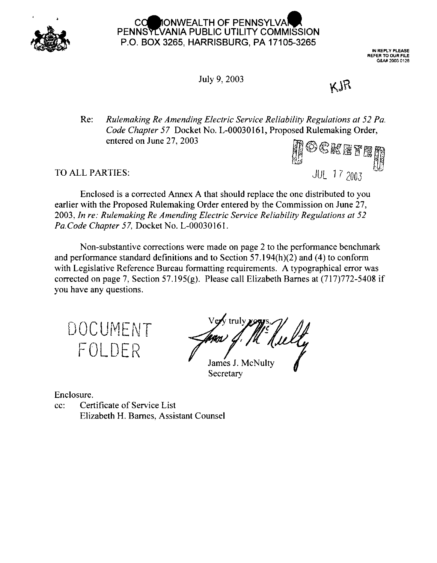

# IONWEALTH OF PENNSYLVA PENNSYLVANIA PUBLIC UTILITY COMMISSION P.O. BOX 3265, HARRISBURG, PA 17105-3265

**IN REPLY PLEASE REFER TO OUR FILE** Q&A# 2003 0126

July 9, 2003

# KJR

Re: *Rulemaking Re Amending Electric Service Reliability Regulations at 52 Pa. Code Chapter 57* Docket No. L-00030161, Proposed Rulemaking Order, entered on June 27. 2003

TO ALL PARTIES: **JULY 27, 2003**<br>TO ALL PARTIES: **JULY 2004** 

Enclosed is a corrected Annex A that should replace the one distributed to you earlier with the Proposed Rulemaking Order entered by the Commission on June 27, 2003, *In re: Rulemaking Re Amending Electric Service Reliability Regulations at 52 Pa.Code Chapter 57,* Docket No. L-00030161.

Non-substantive corrections were made on page 2 to the performance benchmark and performance standard definitions and to Section 57.194(h)(2) and (4) to conform with Legislative Reference Bureau formatting requirements. A typographical error was corrected on page 7, Section 57.195(g). Please call Elizabeth Barnes at (717)772-5408 if you have any questions.

DOCUMENT FOLDER

James J. McNult<sup>.</sup> Secretary

Enclosure.

cc: Certificate of Service List Elizabeth H. Barnes, Assistant Counsel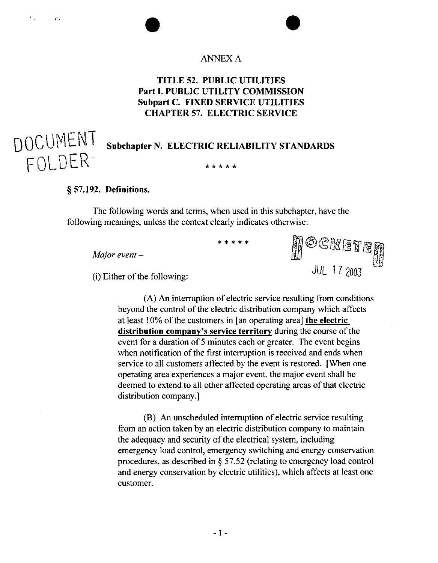## **ANNEX A**

# **TITLE 52. PUBLIC UTILITIES Part I. PUBLIC UTILITY COMMISSION Subpart C. FIXED SERVICE UTILITIES CHAPTER 57. ELECTRIC SERVICE**

# **Subchapter N. ELECTRIC RELIABILITY STANDARDS**

\* \* \* \* \*

#### **§ 57.192. Definitions.**

 $\mathcal{E}_{\mathcal{A}}$ 

 $\mathcal{C}$  .

DOCUMENT

The following words and terms, when used in this subchapter, have the following meanings, unless the context clearly indicates otherwise:

*Major event-*

 $(i)$  Either of the following:

 $\begin{CD} 17\,2003 \end{CD}$ 

 $(A)$  An interruption of electric service resulting from conditions beyond the control of the electric distribution company which affects at least 10% ofthe customers in [an operating area] **the electric distribution company's service territory** during the course of the event for a duration of <sup>5</sup> minutes each or greater. The event begins when notification of the first interruption is received and ends when service to all customers affected by the event is restored. [When one operating area experiences a major event, the major event shall be deemed to extend to all other affected operating areas of that electric distribution company.]

(B) An unscheduled interruption of electric service resulting from an action taken by an electric distribution company to maintain the adequacy and security of the electrical system, including emergency load control, emergency switching and energy conservation procedures, as described in § 57.52 (relating to emergency load control and energy conservation by electric utilities), which affects at least one customer.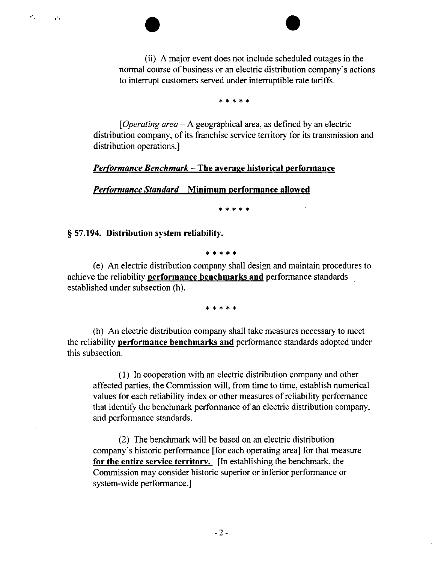(ii) A major event does not include scheduled outages in the normal course of business or an electric distribution company's actions to interrupt customers served under interruptible rate tariffs.

\*\*\*\*\*

*[Operating area -*<sup>A</sup> geographical area, as defined by an electric distribution company, of its franchise service territory for its transmission and distribution operations.]

#### *Performance Benchmark -***The average historical performance**

*Performance Standard—* **Minimum performance allowed**

\*\*\*\*\*

**§ 57.194. Distribution system reliability.**

 $\epsilon$  .

 $\mathcal{L}^{\mathcal{L}}$  .

\*\*\*\*\*

(e) An electric distribution company shall design and maintain procedures to achieve the reliability **performance benchmarks and** performance standards established under subsection (h).

\*\*\*\*\*

(h) An electric distribution company shall take measures necessary to meet the reliability **performance benchmarks and** performance standards adopted under this subsection.

(1) In cooperation with an electric distribution company and other affected parties, the Commission will, from time to time, establish numerical values for each reliability index or other measures of reliability performance that identify the benchmark performance of an electric distribution company, and performance standards.

(2) The benchmark will be based on an electric distribution company's historic performance [for each operating area] for that measure **for the entire service territory.** [In establishing the benchmark, the Commission may consider historic superior or inferior performance or system-wide performance.]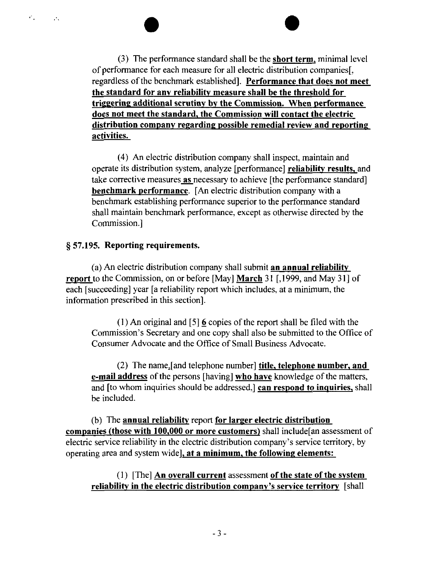**(3)** The performance standard shall be the **short term,** minimal level of performance for each measure for all electric distribution companies[, regardless ofthe benchmark established]. **Performance that does not meet the standard for any reliability measure shall be the threshold for triggering additional scrutiny by the Commission. When performance does not meet the standard, the Commission will contact the electric distribution company regarding possible remedial review and reporting activities.**

(4) An electric distribution company shall inspect, maintain and operate its distribution system, analyze [performance] **reliability results,** and take corrective measures **as** necessary to achieve [the performance standard] **benchmark performance.** [An electric distribution company with a benchmark establishing performance superior to the performance standard shall maintain benchmark performance, except as otherwise directed by the Commission.]

### **§ 57.195. Reporting requirements.**

 $\mathcal{C}_{\mathcal{A}^{\prime}}$ 

 $\mathcal{L}_{\mathcal{A}}$ 

(a) An electric distribution company shall submit **an annual reliability report** to the Commission, on or before [May] **March** 31 [, 1999, and May 31 ] of each [succeeding] year [a reliability report which includes, at a minimum, the information prescribed in this section].

(1) An original and [5]  $\overline{6}$  copies of the report shall be filed with the Commission's Secretary and one copy shall also be submitted to the Office of Consumer Advocate and the Office of Small Business Advocate.

(2) The name.[and telephone number] **title, telephone number, and e-mail address** of the persons [having] **who have** knowledge of the matters, and [to whom inquiries should be addressed,] **can respond to inquiries,** shall be included.

(b) The **annual reliability** report **for larger electric distribution companies (those with 100,000 or more customers)** shall include[an assessment of electric service reliability in the electric distribution company's service territory, by operating area and system widel, **at a minimum, the following elements:**

# (1) [The] **An overall current** assessment **ofthe state ofthe system reliability in the electric distribution company's service territory** [shall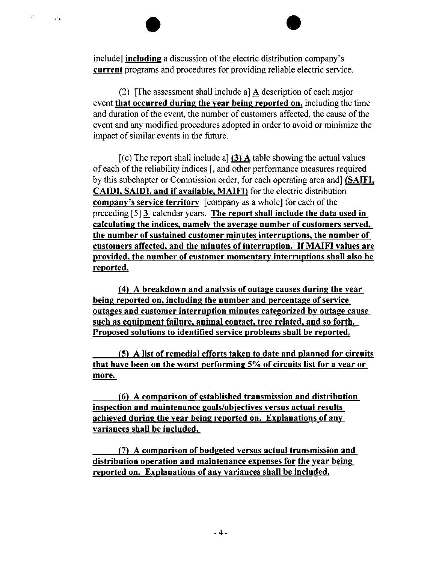include] **including** a discussion of the electric distribution company's **current** programs and procedures for providing reliable electric service.

 $\mathcal{F}_{\mathcal{A}}$ 

 $\mathbb{R}^n$ 

**(2)** [The assessment shall include a] **A** description of each major event **that occurred during the year being reported on,** including the time and duration of the event, the number of customers affected, the cause of the event and any modified procedures adopted in order to avoid or minimize the impact of similar events in the future.

[(c) The report shall include a] (3) **A** table showing the actual values of each of the reliability indices [, and other performance measures required by this subchapter or Commission order, for each operating area and] **(SAIFI, CAIDI. SAIDI. and if available, MAIFD** for the electric distribution **company's service <b>territory** [company as a whole] for each of the preceding [5] 3\_ calendar years. **The report shall include the data used iu calculating the indices, namely the average number of customers served, the number ofsustained customer minutes interruptions, the number of customers affected, and the minutes ofinterruption. If MAIFI values are provided, the number of customer momentary interruptions shall also be reported.**

**(4) A breakdown and analysis of outage causes during the year being reported** on, including the number and percentage of service **outages and customer interruption minutes categorized bv outage cause such as equipment failure, animal contact tree related, and so forth. Proposed solutions to identified service problems shall be reported.**

**(5) A list of remedial efforts taken to date and planned for circuits that have been on the worst performing 5% of circuits list for a year or more.**

**(6) A comparison of established transmission and distribution inspection and maintenance goals/obiectives versus actual results achieved during the year being reported on. Explanations of any variances shall be included.**

**(7) A comparison of budgeted versus actual transmission and distribution operation and maintenance expenses for the year being reported on. Explanations of any variances shall be included.**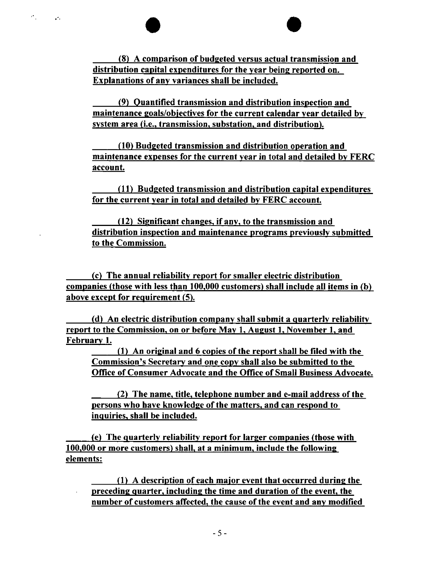**(8) A comparison of budgeted versus actual transmission and distribution capital expenditures for the year being reported on. Explanations of any variances shall be included.**

 $\sigma_{\rm{p}}$ 

 $\mathcal{L}^{\bullet}$  .

**(9) Quantified transmission and distribution inspection and maintenance goals/obiectives for the current calendar year detailed bv system area (i.e., transmission, substation, and distribution),**

**(10) Budgeted transmission and distribution operation and maintenance expenses for the current year in total and detailed bv FERC account**

**(111 Budgeted transmission and distribution capital expenditures for the current year in total and detailed bv FERC account**

**(121 Significant changes, if any, to the transmission and distribution inspection and maintenance programs previously submitted to the Commission.**

**(cl The annual reliability report for smaller electric distribution companies (those with less than 100,000 customers! shall include all items in (bl above except for requirement (51.**

**(dl An electric distribution company shall submit a quarterly reliability report to the Commission, on or before May 1, August 1. November 1. and February 1.**

**(11 An original and 6 copies ofthe report shall be filed with the Commission's Secretary and one copy shall also be submitted to the Office of Consumer Advocate and the Office of Small Business Advocate.**

**(21 The name, title, telephone number and e-mail address ofthe persons who have knowledge of the matters, and can respond to inquiries, shall be included.**

**(el The quarterly reliability report for larger companies (those with 100,000 or more customers) shall, at a minimum, include the following elements:**

**(11 A description of each major event that occurred during the preceding quarter, including the time and duration of the event, the number of customers affected, the cause ofthe event and any modified**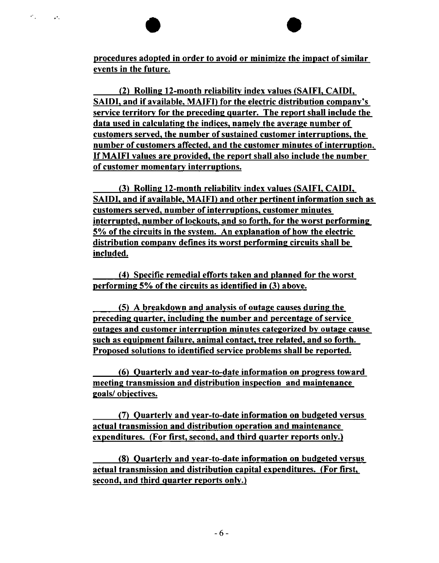**procedures adopted in order to avoid or minimize the impact ofsimiiar events in the future.**

 $\sigma_{\rm{int}}$ 

 $\mathbf{A}$ 

**(2) Rolling 12-month reliability index values (SAIFI, CAIDI, SAIDI, and if available, MAIFI) for the electric distribution company's service territory for the preceding quarter. The report shall include the data used in calculating the indices, namely the average number of customers served, the number ofsustained customer interruptions, the number of customers affected, and the customer minutes ofinterruption. If MAIFI values are provided, the report shall also include the number of customer momentary interruptions.**

**(3) Rolling 12-month reliability index values ISAIFI. CAIDI. SAIDI. and if available, MAIFD and other pertinent information such as customers served, number ofinterruptions, customer minutes interrupted, number oflockouts, and so forth, for the worst performing 5% ofthe circuits in the system. An explanation of how the electric distribution company defines its worst performing circuits shall be included.**

**(4) Specific remedial efforts taken and planned for the worst performing** 5% of the circuits as identified in (3) above.

**(5) A breakdown and analysis of outage causes during the preceding quarter, including the number and percentage ofservice outages and customer interruption minutes categorized by outage cause such as equipment failure, animal contact, tree related, and so forth. Proposed solutions to identified service problems shall be reported.**

**(6) Quarterly and vear-to-date information on progress toward meeting transmission and distribution inspection and maintenance goals/ objectives.**

**(7) Quarterly and vear-to-date information on budgeted versus actual transmission and distribution operation and maintenance expenditures. (For first, second, and third quarter reports only.)**

**(8) Quarterly and vear-to-date information on budgeted versus actual transmission and distribution capital expenditures. (For first, second, and third quarter reports only.)**